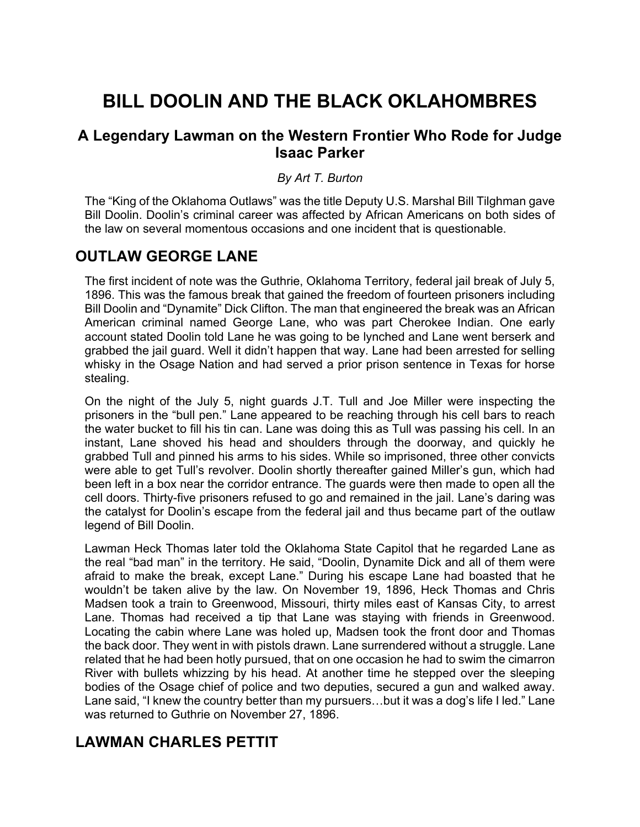# **BILL DOOLIN AND THE BLACK OKLAHOMBRES**

# **A Legendary Lawman on the Western Frontier Who Rode for Judge Isaac Parker**

### *By Art T. Burton*

The "King of the Oklahoma Outlaws" was the title Deputy U.S. Marshal Bill Tilghman gave Bill Doolin. Doolin's criminal career was affected by African Americans on both sides of the law on several momentous occasions and one incident that is questionable.

# **OUTLAW GEORGE LANE**

The first incident of note was the Guthrie, Oklahoma Territory, federal jail break of July 5, 1896. This was the famous break that gained the freedom of fourteen prisoners including Bill Doolin and "Dynamite" Dick Clifton. The man that engineered the break was an African American criminal named George Lane, who was part Cherokee Indian. One early account stated Doolin told Lane he was going to be lynched and Lane went berserk and grabbed the jail guard. Well it didn't happen that way. Lane had been arrested for selling whisky in the Osage Nation and had served a prior prison sentence in Texas for horse stealing.

On the night of the July 5, night guards J.T. Tull and Joe Miller were inspecting the prisoners in the "bull pen." Lane appeared to be reaching through his cell bars to reach the water bucket to fill his tin can. Lane was doing this as Tull was passing his cell. In an instant, Lane shoved his head and shoulders through the doorway, and quickly he grabbed Tull and pinned his arms to his sides. While so imprisoned, three other convicts were able to get Tull's revolver. Doolin shortly thereafter gained Miller's gun, which had been left in a box near the corridor entrance. The guards were then made to open all the cell doors. Thirty-five prisoners refused to go and remained in the jail. Lane's daring was the catalyst for Doolin's escape from the federal jail and thus became part of the outlaw legend of Bill Doolin.

Lawman Heck Thomas later told the Oklahoma State Capitol that he regarded Lane as the real "bad man" in the territory. He said, "Doolin, Dynamite Dick and all of them were afraid to make the break, except Lane." During his escape Lane had boasted that he wouldn't be taken alive by the law. On November 19, 1896, Heck Thomas and Chris Madsen took a train to Greenwood, Missouri, thirty miles east of Kansas City, to arrest Lane. Thomas had received a tip that Lane was staying with friends in Greenwood. Locating the cabin where Lane was holed up, Madsen took the front door and Thomas the back door. They went in with pistols drawn. Lane surrendered without a struggle. Lane related that he had been hotly pursued, that on one occasion he had to swim the cimarron River with bullets whizzing by his head. At another time he stepped over the sleeping bodies of the Osage chief of police and two deputies, secured a gun and walked away. Lane said, "I knew the country better than my pursuers…but it was a dog's life I led." Lane was returned to Guthrie on November 27, 1896.

# **LAWMAN CHARLES PETTIT**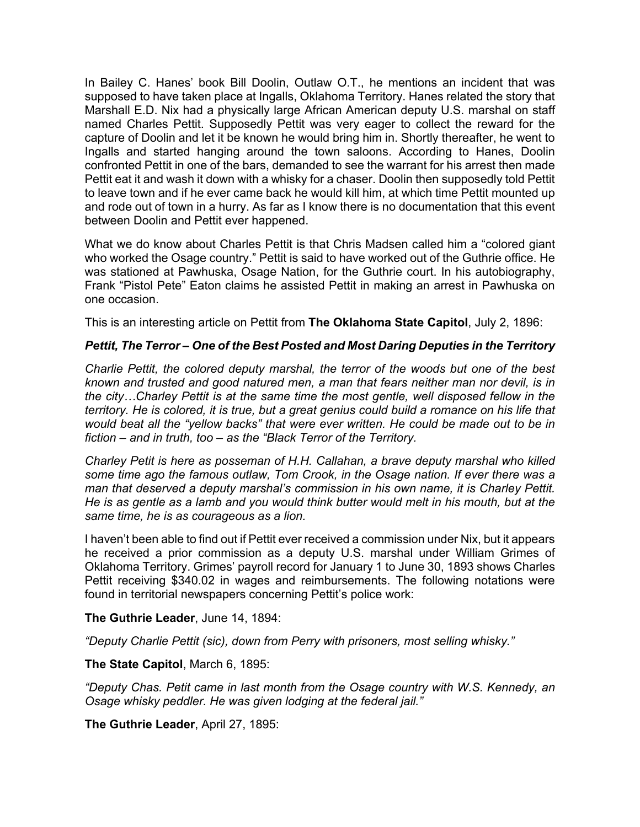In Bailey C. Hanes' book Bill Doolin, Outlaw O.T., he mentions an incident that was supposed to have taken place at Ingalls, Oklahoma Territory. Hanes related the story that Marshall E.D. Nix had a physically large African American deputy U.S. marshal on staff named Charles Pettit. Supposedly Pettit was very eager to collect the reward for the capture of Doolin and let it be known he would bring him in. Shortly thereafter, he went to Ingalls and started hanging around the town saloons. According to Hanes, Doolin confronted Pettit in one of the bars, demanded to see the warrant for his arrest then made Pettit eat it and wash it down with a whisky for a chaser. Doolin then supposedly told Pettit to leave town and if he ever came back he would kill him, at which time Pettit mounted up and rode out of town in a hurry. As far as I know there is no documentation that this event between Doolin and Pettit ever happened.

What we do know about Charles Pettit is that Chris Madsen called him a "colored giant who worked the Osage country." Pettit is said to have worked out of the Guthrie office. He was stationed at Pawhuska, Osage Nation, for the Guthrie court. In his autobiography, Frank "Pistol Pete" Eaton claims he assisted Pettit in making an arrest in Pawhuska on one occasion.

This is an interesting article on Pettit from **The Oklahoma State Capitol**, July 2, 1896:

#### *Pettit, The Terror – One of the Best Posted and Most Daring Deputies in the Territory*

*Charlie Pettit, the colored deputy marshal, the terror of the woods but one of the best known and trusted and good natured men, a man that fears neither man nor devil, is in the city…Charley Pettit is at the same time the most gentle, well disposed fellow in the territory. He is colored, it is true, but a great genius could build a romance on his life that would beat all the "yellow backs" that were ever written. He could be made out to be in fiction – and in truth, too – as the "Black Terror of the Territory.*

*Charley Petit is here as posseman of H.H. Callahan, a brave deputy marshal who killed some time ago the famous outlaw, Tom Crook, in the Osage nation. If ever there was a man that deserved a deputy marshal's commission in his own name, it is Charley Pettit. He is as gentle as a lamb and you would think butter would melt in his mouth, but at the same time, he is as courageous as a lion.*

I haven't been able to find out if Pettit ever received a commission under Nix, but it appears he received a prior commission as a deputy U.S. marshal under William Grimes of Oklahoma Territory. Grimes' payroll record for January 1 to June 30, 1893 shows Charles Pettit receiving \$340.02 in wages and reimbursements. The following notations were found in territorial newspapers concerning Pettit's police work:

#### **The Guthrie Leader**, June 14, 1894:

*"Deputy Charlie Pettit (sic), down from Perry with prisoners, most selling whisky."*

**The State Capitol**, March 6, 1895:

*"Deputy Chas. Petit came in last month from the Osage country with W.S. Kennedy, an Osage whisky peddler. He was given lodging at the federal jail."*

**The Guthrie Leader**, April 27, 1895: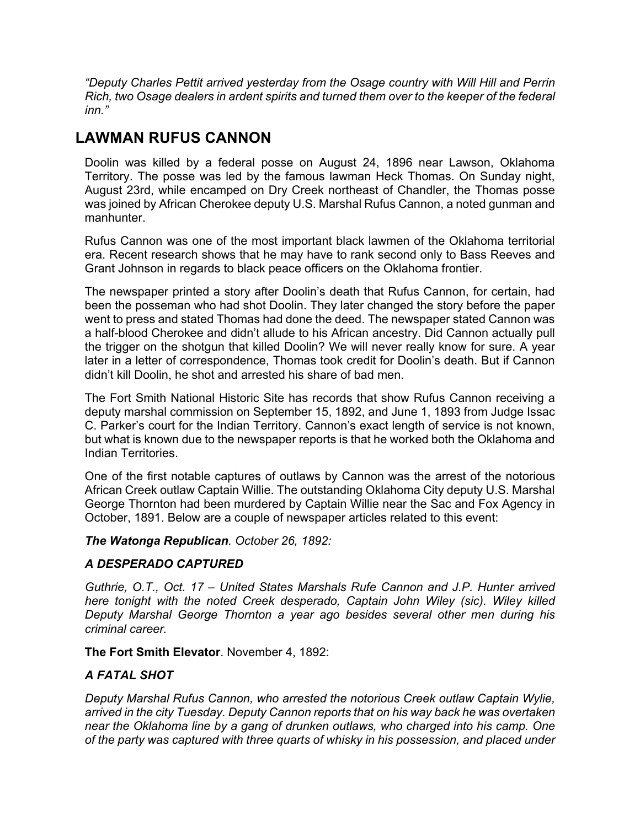*"Deputy Charles Pettit arrived yesterday from the Osage country with Will Hill and Perrin Rich, two Osage dealers in ardent spirits and turned them over to the keeper of the federal inn."*

# **LAWMAN RUFUS CANNON**

Doolin was killed by a federal posse on August 24, 1896 near Lawson, Oklahoma Territory. The posse was led by the famous lawman Heck Thomas. On Sunday night, August 23rd, while encamped on Dry Creek northeast of Chandler, the Thomas posse was joined by African Cherokee deputy U.S. Marshal Rufus Cannon, a noted gunman and manhunter.

Rufus Cannon was one of the most important black lawmen of the Oklahoma territorial era. Recent research shows that he may have to rank second only to Bass Reeves and Grant Johnson in regards to black peace officers on the Oklahoma frontier.

The newspaper printed a story after Doolin's death that Rufus Cannon, for certain, had been the posseman who had shot Doolin. They later changed the story before the paper went to press and stated Thomas had done the deed. The newspaper stated Cannon was a half-blood Cherokee and didn't allude to his African ancestry. Did Cannon actually pull the trigger on the shotgun that killed Doolin? We will never really know for sure. A year later in a letter of correspondence, Thomas took credit for Doolin's death. But if Cannon didn't kill Doolin, he shot and arrested his share of bad men.

The Fort Smith National Historic Site has records that show Rufus Cannon receiving a deputy marshal commission on September 15, 1892, and June 1, 1893 from Judge Issac C. Parker's court for the Indian Territory. Cannon's exact length of service is not known, but what is known due to the newspaper reports is that he worked both the Oklahoma and Indian Territories.

One of the first notable captures of outlaws by Cannon was the arrest of the notorious African Creek outlaw Captain Willie. The outstanding Oklahoma City deputy U.S. Marshal George Thornton had been murdered by Captain Willie near the Sac and Fox Agency in October, 1891. Below are a couple of newspaper articles related to this event:

*The Watonga Republican. October 26, 1892:*

## *A DESPERADO CAPTURED*

*Guthrie, O.T., Oct. 17 – United States Marshals Rufe Cannon and J.P. Hunter arrived here tonight with the noted Creek desperado, Captain John Wiley (sic). Wiley killed Deputy Marshal George Thornton a year ago besides several other men during his criminal career.*

## **The Fort Smith Elevator**. November 4, 1892:

## *A FATAL SHOT*

*Deputy Marshal Rufus Cannon, who arrested the notorious Creek outlaw Captain Wylie, arrived in the city Tuesday. Deputy Cannon reports that on his way back he was overtaken near the Oklahoma line by a gang of drunken outlaws, who charged into his camp. One of the party was captured with three quarts of whisky in his possession, and placed under*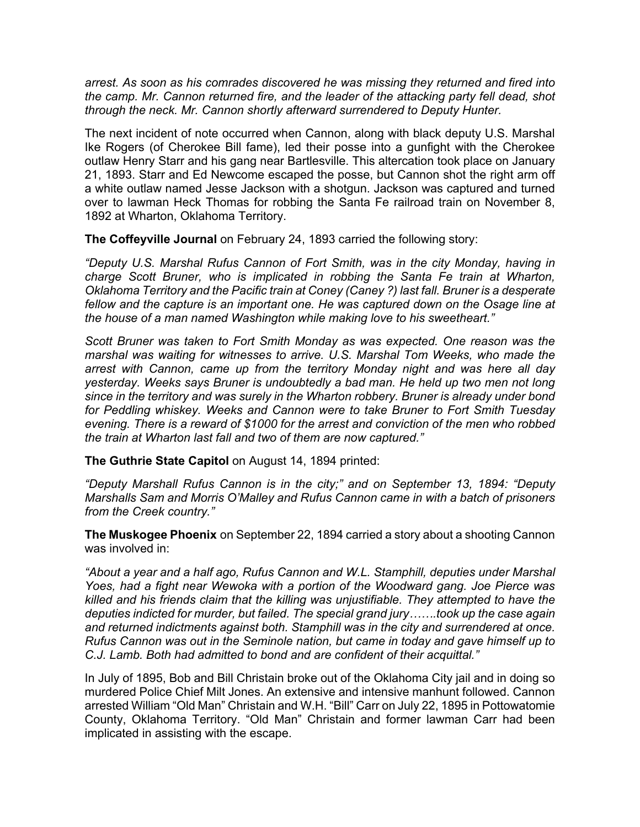*arrest. As soon as his comrades discovered he was missing they returned and fired into the camp. Mr. Cannon returned fire, and the leader of the attacking party fell dead, shot through the neck. Mr. Cannon shortly afterward surrendered to Deputy Hunter.*

The next incident of note occurred when Cannon, along with black deputy U.S. Marshal Ike Rogers (of Cherokee Bill fame), led their posse into a gunfight with the Cherokee outlaw Henry Starr and his gang near Bartlesville. This altercation took place on January 21, 1893. Starr and Ed Newcome escaped the posse, but Cannon shot the right arm off a white outlaw named Jesse Jackson with a shotgun. Jackson was captured and turned over to lawman Heck Thomas for robbing the Santa Fe railroad train on November 8, 1892 at Wharton, Oklahoma Territory.

**The Coffeyville Journal** on February 24, 1893 carried the following story:

*"Deputy U.S. Marshal Rufus Cannon of Fort Smith, was in the city Monday, having in charge Scott Bruner, who is implicated in robbing the Santa Fe train at Wharton, Oklahoma Territory and the Pacific train at Coney (Caney ?) last fall. Bruner is a desperate*  fellow and the capture is an important one. He was captured down on the Osage line at *the house of a man named Washington while making love to his sweetheart."*

*Scott Bruner was taken to Fort Smith Monday as was expected. One reason was the marshal was waiting for witnesses to arrive. U.S. Marshal Tom Weeks, who made the arrest with Cannon, came up from the territory Monday night and was here all day yesterday. Weeks says Bruner is undoubtedly a bad man. He held up two men not long since in the territory and was surely in the Wharton robbery. Bruner is already under bond for Peddling whiskey. Weeks and Cannon were to take Bruner to Fort Smith Tuesday evening. There is a reward of \$1000 for the arrest and conviction of the men who robbed the train at Wharton last fall and two of them are now captured."*

**The Guthrie State Capitol** on August 14, 1894 printed:

*"Deputy Marshall Rufus Cannon is in the city;" and on September 13, 1894: "Deputy Marshalls Sam and Morris O'Malley and Rufus Cannon came in with a batch of prisoners from the Creek country."*

**The Muskogee Phoenix** on September 22, 1894 carried a story about a shooting Cannon was involved in:

*"About a year and a half ago, Rufus Cannon and W.L. Stamphill, deputies under Marshal Yoes, had a fight near Wewoka with a portion of the Woodward gang. Joe Pierce was killed and his friends claim that the killing was unjustifiable. They attempted to have the deputies indicted for murder, but failed. The special grand jury…….took up the case again and returned indictments against both. Stamphill was in the city and surrendered at once. Rufus Cannon was out in the Seminole nation, but came in today and gave himself up to C.J. Lamb. Both had admitted to bond and are confident of their acquittal."*

In July of 1895, Bob and Bill Christain broke out of the Oklahoma City jail and in doing so murdered Police Chief Milt Jones. An extensive and intensive manhunt followed. Cannon arrested William "Old Man" Christain and W.H. "Bill" Carr on July 22, 1895 in Pottowatomie County, Oklahoma Territory. "Old Man" Christain and former lawman Carr had been implicated in assisting with the escape.